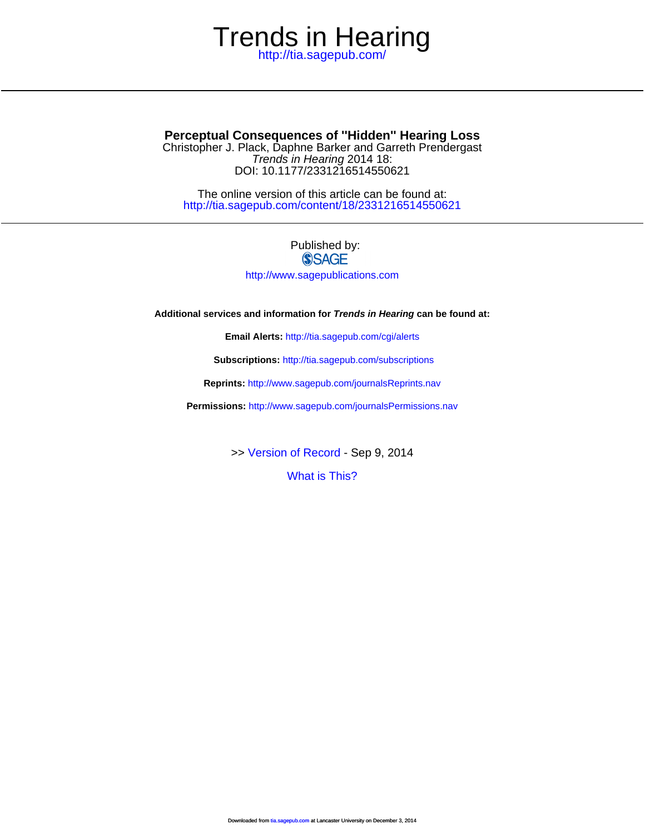# Trends in Hearing

<http://tia.sagepub.com/>

DOI: 10.1177/2331216514550621 Trends in Hearing 2014 18: Christopher J. Plack, Daphne Barker and Garreth Prendergast **Perceptual Consequences of ''Hidden'' Hearing Loss**

<http://tia.sagepub.com/content/18/2331216514550621> The online version of this article can be found at:

## Published by: **SSAGE**

<http://www.sagepublications.com>

**Additional services and information for Trends in Hearing can be found at:**

**Email Alerts:** <http://tia.sagepub.com/cgi/alerts>

**Subscriptions:** <http://tia.sagepub.com/subscriptions>

**Reprints:** <http://www.sagepub.com/journalsReprints.nav>

**Permissions:** <http://www.sagepub.com/journalsPermissions.nav>

>> [Version of Record -](http://tia.sagepub.com/content/18/2331216514550621.full.pdf) Sep 9, 2014

[What is This?](http://online.sagepub.com/site/sphelp/vorhelp.xhtml)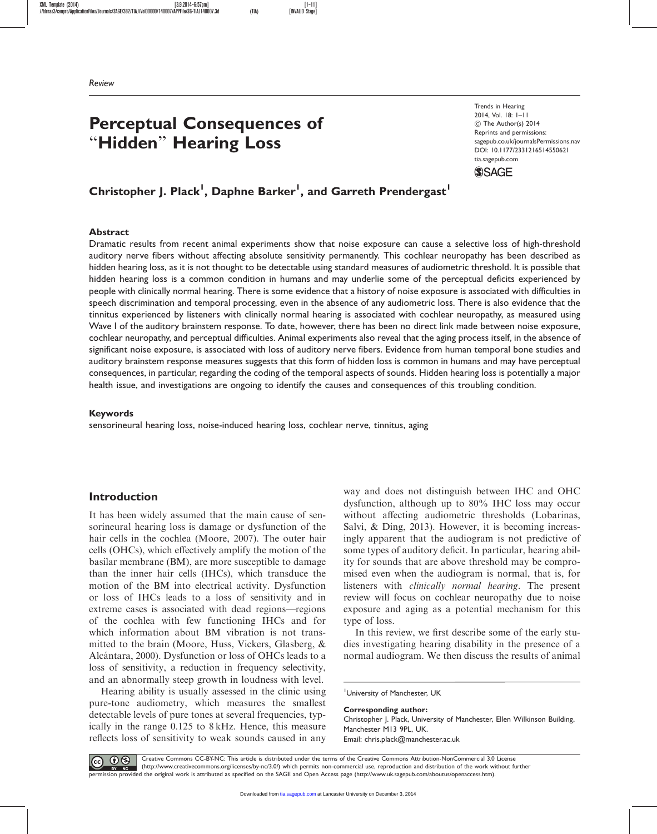## Perceptual Consequences of "Hidden" Hearing Loss

Trends in Hearing 2014, Vol. 18: 1–11  $©$  The Author(s) 2014 Reprints and permissions: sagepub.co.uk/journalsPermissions.nav DOI: 10.1177/2331216514550621 tia.sagepub.com

**SSAGE** 

## Christopher J. Plack<sup>1</sup>, Daphne Barker<sup>1</sup>, and Garreth Prendergast<sup>1</sup>

#### Abstract

Dramatic results from recent animal experiments show that noise exposure can cause a selective loss of high-threshold auditory nerve fibers without affecting absolute sensitivity permanently. This cochlear neuropathy has been described as hidden hearing loss, as it is not thought to be detectable using standard measures of audiometric threshold. It is possible that hidden hearing loss is a common condition in humans and may underlie some of the perceptual deficits experienced by people with clinically normal hearing. There is some evidence that a history of noise exposure is associated with difficulties in speech discrimination and temporal processing, even in the absence of any audiometric loss. There is also evidence that the tinnitus experienced by listeners with clinically normal hearing is associated with cochlear neuropathy, as measured using Wave I of the auditory brainstem response. To date, however, there has been no direct link made between noise exposure, cochlear neuropathy, and perceptual difficulties. Animal experiments also reveal that the aging process itself, in the absence of significant noise exposure, is associated with loss of auditory nerve fibers. Evidence from human temporal bone studies and auditory brainstem response measures suggests that this form of hidden loss is common in humans and may have perceptual consequences, in particular, regarding the coding of the temporal aspects of sounds. Hidden hearing loss is potentially a major health issue, and investigations are ongoing to identify the causes and consequences of this troubling condition.

#### Keywords

sensorineural hearing loss, noise-induced hearing loss, cochlear nerve, tinnitus, aging

## Introduction

It has been widely assumed that the main cause of sensorineural hearing loss is damage or dysfunction of the hair cells in the cochlea (Moore, 2007). The outer hair cells (OHCs), which effectively amplify the motion of the basilar membrane (BM), are more susceptible to damage than the inner hair cells (IHCs), which transduce the motion of the BM into electrical activity. Dysfunction or loss of IHCs leads to a loss of sensitivity and in extreme cases is associated with dead regions—regions of the cochlea with few functioning IHCs and for which information about BM vibration is not transmitted to the brain (Moore, Huss, Vickers, Glasberg, & Alcántara, 2000). Dysfunction or loss of OHCs leads to a loss of sensitivity, a reduction in frequency selectivity, and an abnormally steep growth in loudness with level.

Hearing ability is usually assessed in the clinic using pure-tone audiometry, which measures the smallest detectable levels of pure tones at several frequencies, typically in the range 0.125 to 8 kHz. Hence, this measure reflects loss of sensitivity to weak sounds caused in any

way and does not distinguish between IHC and OHC dysfunction, although up to 80% IHC loss may occur without affecting audiometric thresholds (Lobarinas, Salvi, & Ding, 2013). However, it is becoming increasingly apparent that the audiogram is not predictive of some types of auditory deficit. In particular, hearing ability for sounds that are above threshold may be compromised even when the audiogram is normal, that is, for listeners with clinically normal hearing. The present review will focus on cochlear neuropathy due to noise exposure and aging as a potential mechanism for this type of loss.

In this review, we first describe some of the early studies investigating hearing disability in the presence of a normal audiogram. We then discuss the results of animal

Corresponding author: Christopher J. Plack, University of Manchester, Ellen Wilkinson Building,

Manchester M13 9PL, UK. Email: chris.plack@manchester.ac.uk

<u>ெ () ල</u> Creative Commons CC-BY-NC: This article is distributed under the terms of the Creative Commons Attribution-NonCommercial 3.0 License Creative Commons CC-BT-NC: This article is distributed under the terms of the Creative Commons Attribution-NonCommercial 3.0 License<br>Http://www.creativecommons.org/licenses/by-nc/3.0/) which permits non-commercial use, rep [permission provided the original work is attributed as specified on the SAGE and Open Access page \(http://www.uk.sagepub.com/aboutus/openaccess.htm\).](http://www.uk.sagepub.com/aboutus/openaccess.htm)

<sup>&</sup>lt;sup>1</sup>University of Manchester, UK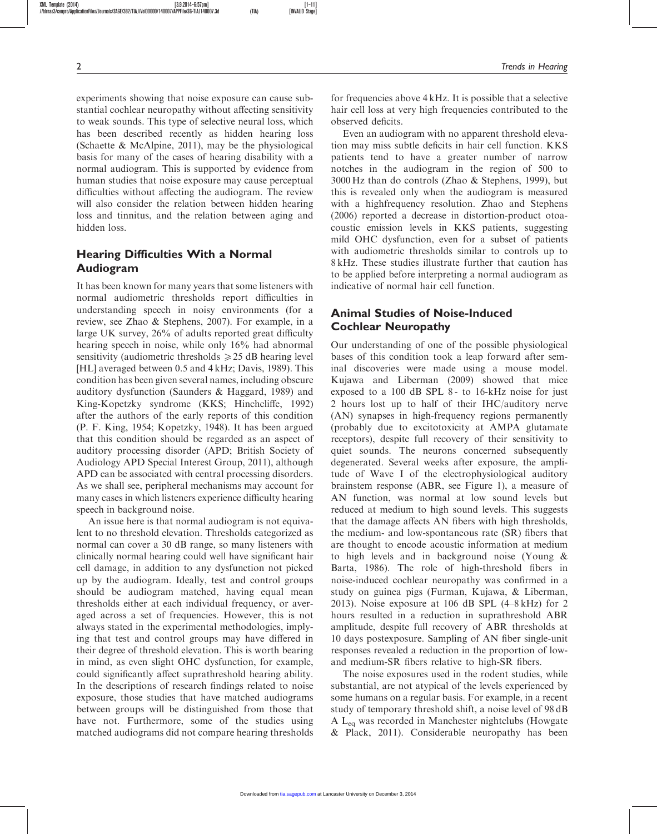experiments showing that noise exposure can cause substantial cochlear neuropathy without affecting sensitivity to weak sounds. This type of selective neural loss, which has been described recently as hidden hearing loss (Schaette & McAlpine, 2011), may be the physiological basis for many of the cases of hearing disability with a normal audiogram. This is supported by evidence from human studies that noise exposure may cause perceptual difficulties without affecting the audiogram. The review will also consider the relation between hidden hearing loss and tinnitus, and the relation between aging and hidden loss.

## Hearing Difficulties With a Normal Audiogram

It has been known for many years that some listeners with normal audiometric thresholds report difficulties in understanding speech in noisy environments (for a review, see Zhao & Stephens, 2007). For example, in a large UK survey, 26% of adults reported great difficulty hearing speech in noise, while only 16% had abnormal sensitivity (audiometric thresholds  $\geq 25$  dB hearing level [HL] averaged between 0.5 and 4 kHz; Davis, 1989). This condition has been given several names, including obscure auditory dysfunction (Saunders & Haggard, 1989) and King-Kopetzky syndrome (KKS; Hinchcliffe, 1992) after the authors of the early reports of this condition (P. F. King, 1954; Kopetzky, 1948). It has been argued that this condition should be regarded as an aspect of auditory processing disorder (APD; British Society of Audiology APD Special Interest Group, 2011), although APD can be associated with central processing disorders. As we shall see, peripheral mechanisms may account for many cases in which listeners experience difficulty hearing speech in background noise.

An issue here is that normal audiogram is not equivalent to no threshold elevation. Thresholds categorized as normal can cover a 30 dB range, so many listeners with clinically normal hearing could well have significant hair cell damage, in addition to any dysfunction not picked up by the audiogram. Ideally, test and control groups should be audiogram matched, having equal mean thresholds either at each individual frequency, or averaged across a set of frequencies. However, this is not always stated in the experimental methodologies, implying that test and control groups may have differed in their degree of threshold elevation. This is worth bearing in mind, as even slight OHC dysfunction, for example, could significantly affect suprathreshold hearing ability. In the descriptions of research findings related to noise exposure, those studies that have matched audiograms between groups will be distinguished from those that have not. Furthermore, some of the studies using matched audiograms did not compare hearing thresholds for frequencies above 4 kHz. It is possible that a selective hair cell loss at very high frequencies contributed to the observed deficits.

Even an audiogram with no apparent threshold elevation may miss subtle deficits in hair cell function. KKS patients tend to have a greater number of narrow notches in the audiogram in the region of 500 to 3000 Hz than do controls (Zhao & Stephens, 1999), but this is revealed only when the audiogram is measured with a highfrequency resolution. Zhao and Stephens (2006) reported a decrease in distortion-product otoacoustic emission levels in KKS patients, suggesting mild OHC dysfunction, even for a subset of patients with audiometric thresholds similar to controls up to 8 kHz. These studies illustrate further that caution has to be applied before interpreting a normal audiogram as indicative of normal hair cell function.

## Animal Studies of Noise-Induced Cochlear Neuropathy

Our understanding of one of the possible physiological bases of this condition took a leap forward after seminal discoveries were made using a mouse model. Kujawa and Liberman (2009) showed that mice exposed to a 100 dB SPL 8 - to 16-kHz noise for just 2 hours lost up to half of their IHC/auditory nerve (AN) synapses in high-frequency regions permanently (probably due to excitotoxicity at AMPA glutamate receptors), despite full recovery of their sensitivity to quiet sounds. The neurons concerned subsequently degenerated. Several weeks after exposure, the amplitude of Wave I of the electrophysiological auditory brainstem response (ABR, see Figure 1), a measure of AN function, was normal at low sound levels but reduced at medium to high sound levels. This suggests that the damage affects AN fibers with high thresholds, the medium- and low-spontaneous rate (SR) fibers that are thought to encode acoustic information at medium to high levels and in background noise (Young & Barta, 1986). The role of high-threshold fibers in noise-induced cochlear neuropathy was confirmed in a study on guinea pigs (Furman, Kujawa, & Liberman, 2013). Noise exposure at 106 dB SPL (4–8 kHz) for 2 hours resulted in a reduction in suprathreshold ABR amplitude, despite full recovery of ABR thresholds at 10 days postexposure. Sampling of AN fiber single-unit responses revealed a reduction in the proportion of lowand medium-SR fibers relative to high-SR fibers.

The noise exposures used in the rodent studies, while substantial, are not atypical of the levels experienced by some humans on a regular basis. For example, in a recent study of temporary threshold shift, a noise level of 98 dB A Leq was recorded in Manchester nightclubs (Howgate & Plack, 2011). Considerable neuropathy has been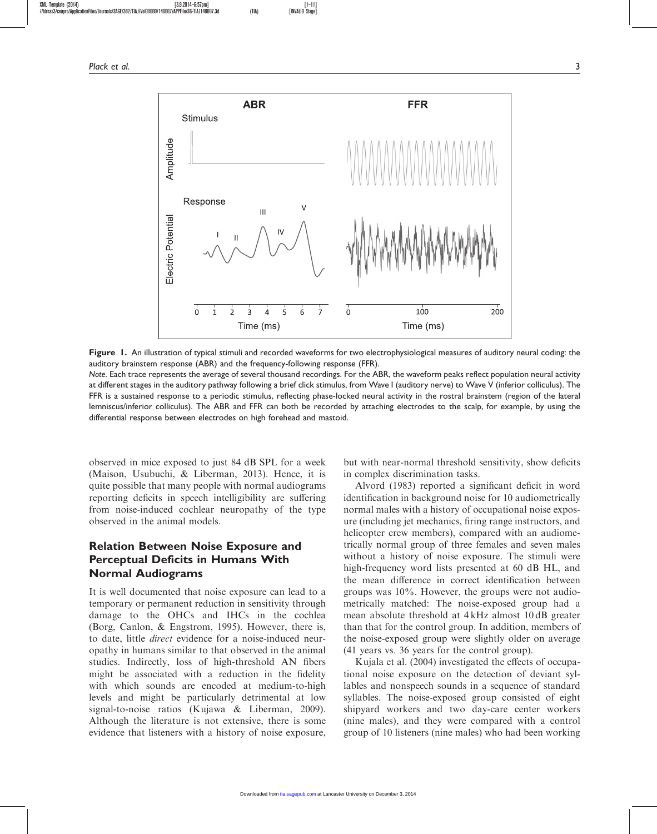

Figure 1. An illustration of typical stimuli and recorded waveforms for two electrophysiological measures of auditory neural coding: the auditory brainstem response (ABR) and the frequency-following response (FFR).

Note. Each trace represents the average of several thousand recordings. For the ABR, the waveform peaks reflect population neural activity at different stages in the auditory pathway following a brief click stimulus, from Wave I (auditory nerve) to Wave V (inferior colliculus). The FFR is a sustained response to a periodic stimulus, reflecting phase-locked neural activity in the rostral brainstem (region of the lateral lemniscus/inferior colliculus). The ABR and FFR can both be recorded by attaching electrodes to the scalp, for example, by using the differential response between electrodes on high forehead and mastoid.

observed in mice exposed to just 84 dB SPL for a week (Maison, Usubuchi, & Liberman, 2013). Hence, it is quite possible that many people with normal audiograms reporting deficits in speech intelligibility are suffering from noise-induced cochlear neuropathy of the type observed in the animal models.

## Relation Between Noise Exposure and Perceptual Deficits in Humans With Normal Audiograms

It is well documented that noise exposure can lead to a temporary or permanent reduction in sensitivity through damage to the OHCs and IHCs in the cochlea (Borg, Canlon, & Engstrom, 1995). However, there is, to date, little direct evidence for a noise-induced neuropathy in humans similar to that observed in the animal studies. Indirectly, loss of high-threshold AN fibers might be associated with a reduction in the fidelity with which sounds are encoded at medium-to-high levels and might be particularly detrimental at low signal-to-noise ratios (Kujawa & Liberman, 2009). Although the literature is not extensive, there is some evidence that listeners with a history of noise exposure,

but with near-normal threshold sensitivity, show deficits in complex discrimination tasks.

Alvord (1983) reported a significant deficit in word identification in background noise for 10 audiometrically normal males with a history of occupational noise exposure (including jet mechanics, firing range instructors, and helicopter crew members), compared with an audiometrically normal group of three females and seven males without a history of noise exposure. The stimuli were high-frequency word lists presented at 60 dB HL, and the mean difference in correct identification between groups was 10%. However, the groups were not audiometrically matched: The noise-exposed group had a mean absolute threshold at 4 kHz almost 10 dB greater than that for the control group. In addition, members of the noise-exposed group were slightly older on average (41 years vs. 36 years for the control group).

Kujala et al. (2004) investigated the effects of occupational noise exposure on the detection of deviant syllables and nonspeech sounds in a sequence of standard syllables. The noise-exposed group consisted of eight shipyard workers and two day-care center workers (nine males), and they were compared with a control group of 10 listeners (nine males) who had been working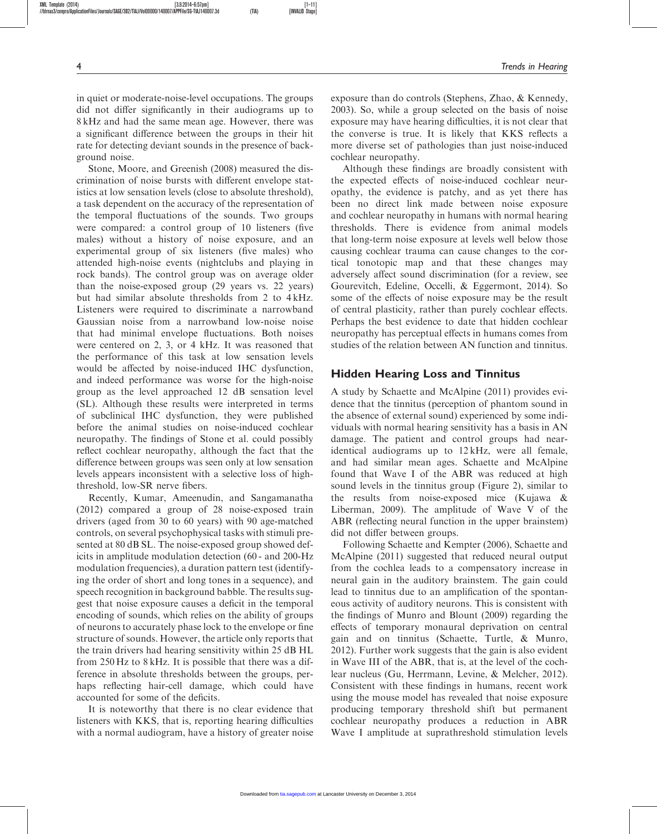in quiet or moderate-noise-level occupations. The groups did not differ significantly in their audiograms up to 8 kHz and had the same mean age. However, there was a significant difference between the groups in their hit rate for detecting deviant sounds in the presence of background noise.

Stone, Moore, and Greenish (2008) measured the discrimination of noise bursts with different envelope statistics at low sensation levels (close to absolute threshold), a task dependent on the accuracy of the representation of the temporal fluctuations of the sounds. Two groups were compared: a control group of 10 listeners (five males) without a history of noise exposure, and an experimental group of six listeners (five males) who attended high-noise events (nightclubs and playing in rock bands). The control group was on average older than the noise-exposed group (29 years vs. 22 years) but had similar absolute thresholds from 2 to 4 kHz. Listeners were required to discriminate a narrowband Gaussian noise from a narrowband low-noise noise that had minimal envelope fluctuations. Both noises were centered on 2, 3, or 4 kHz. It was reasoned that the performance of this task at low sensation levels would be affected by noise-induced IHC dysfunction, and indeed performance was worse for the high-noise group as the level approached 12 dB sensation level (SL). Although these results were interpreted in terms of subclinical IHC dysfunction, they were published before the animal studies on noise-induced cochlear neuropathy. The findings of Stone et al. could possibly reflect cochlear neuropathy, although the fact that the difference between groups was seen only at low sensation levels appears inconsistent with a selective loss of highthreshold, low-SR nerve fibers.

Recently, Kumar, Ameenudin, and Sangamanatha (2012) compared a group of 28 noise-exposed train drivers (aged from 30 to 60 years) with 90 age-matched controls, on several psychophysical tasks with stimuli presented at 80 dB SL. The noise-exposed group showed deficits in amplitude modulation detection (60 - and 200-Hz modulation frequencies), a duration pattern test (identifying the order of short and long tones in a sequence), and speech recognition in background babble. The results suggest that noise exposure causes a deficit in the temporal encoding of sounds, which relies on the ability of groups of neurons to accurately phase lock to the envelope or fine structure of sounds. However, the article only reports that the train drivers had hearing sensitivity within 25 dB HL from 250 Hz to 8 kHz. It is possible that there was a difference in absolute thresholds between the groups, perhaps reflecting hair-cell damage, which could have accounted for some of the deficits.

It is noteworthy that there is no clear evidence that listeners with KKS, that is, reporting hearing difficulties with a normal audiogram, have a history of greater noise exposure than do controls (Stephens, Zhao, & Kennedy, 2003). So, while a group selected on the basis of noise exposure may have hearing difficulties, it is not clear that the converse is true. It is likely that KKS reflects a more diverse set of pathologies than just noise-induced cochlear neuropathy.

Although these findings are broadly consistent with the expected effects of noise-induced cochlear neuropathy, the evidence is patchy, and as yet there has been no direct link made between noise exposure and cochlear neuropathy in humans with normal hearing thresholds. There is evidence from animal models that long-term noise exposure at levels well below those causing cochlear trauma can cause changes to the cortical tonotopic map and that these changes may adversely affect sound discrimination (for a review, see Gourevitch, Edeline, Occelli, & Eggermont, 2014). So some of the effects of noise exposure may be the result of central plasticity, rather than purely cochlear effects. Perhaps the best evidence to date that hidden cochlear neuropathy has perceptual effects in humans comes from studies of the relation between AN function and tinnitus.

#### Hidden Hearing Loss and Tinnitus

A study by Schaette and McAlpine (2011) provides evidence that the tinnitus (perception of phantom sound in the absence of external sound) experienced by some individuals with normal hearing sensitivity has a basis in AN damage. The patient and control groups had nearidentical audiograms up to 12 kHz, were all female, and had similar mean ages. Schaette and McAlpine found that Wave I of the ABR was reduced at high sound levels in the tinnitus group (Figure 2), similar to the results from noise-exposed mice (Kujawa & Liberman, 2009). The amplitude of Wave V of the ABR (reflecting neural function in the upper brainstem) did not differ between groups.

Following Schaette and Kempter (2006), Schaette and McAlpine (2011) suggested that reduced neural output from the cochlea leads to a compensatory increase in neural gain in the auditory brainstem. The gain could lead to tinnitus due to an amplification of the spontaneous activity of auditory neurons. This is consistent with the findings of Munro and Blount (2009) regarding the effects of temporary monaural deprivation on central gain and on tinnitus (Schaette, Turtle, & Munro, 2012). Further work suggests that the gain is also evident in Wave III of the ABR, that is, at the level of the cochlear nucleus (Gu, Herrmann, Levine, & Melcher, 2012). Consistent with these findings in humans, recent work using the mouse model has revealed that noise exposure producing temporary threshold shift but permanent cochlear neuropathy produces a reduction in ABR Wave I amplitude at suprathreshold stimulation levels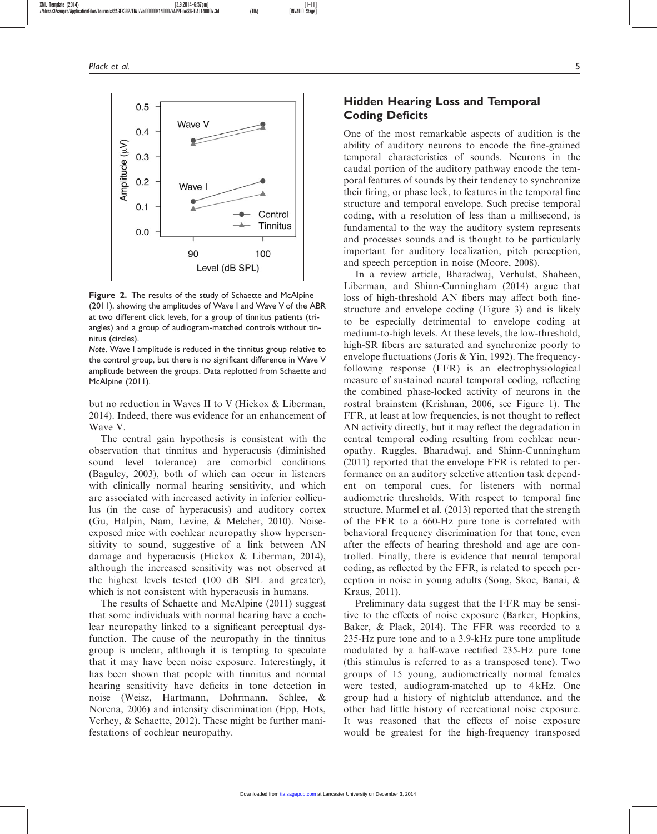

Figure 2. The results of the study of Schaette and McAlpine (2011), showing the amplitudes of Wave I and Wave V of the ABR at two different click levels, for a group of tinnitus patients (triangles) and a group of audiogram-matched controls without tinnitus (circles).

Note. Wave I amplitude is reduced in the tinnitus group relative to the control group, but there is no significant difference in Wave V amplitude between the groups. Data replotted from Schaette and McAlpine (2011).

but no reduction in Waves II to V (Hickox & Liberman, 2014). Indeed, there was evidence for an enhancement of Wave V.

The central gain hypothesis is consistent with the observation that tinnitus and hyperacusis (diminished sound level tolerance) are comorbid conditions (Baguley, 2003), both of which can occur in listeners with clinically normal hearing sensitivity, and which are associated with increased activity in inferior colliculus (in the case of hyperacusis) and auditory cortex (Gu, Halpin, Nam, Levine, & Melcher, 2010). Noiseexposed mice with cochlear neuropathy show hypersensitivity to sound, suggestive of a link between AN damage and hyperacusis (Hickox & Liberman, 2014), although the increased sensitivity was not observed at the highest levels tested (100 dB SPL and greater), which is not consistent with hyperacusis in humans.

The results of Schaette and McAlpine (2011) suggest that some individuals with normal hearing have a cochlear neuropathy linked to a significant perceptual dysfunction. The cause of the neuropathy in the tinnitus group is unclear, although it is tempting to speculate that it may have been noise exposure. Interestingly, it has been shown that people with tinnitus and normal hearing sensitivity have deficits in tone detection in noise (Weisz, Hartmann, Dohrmann, Schlee, & Norena, 2006) and intensity discrimination (Epp, Hots, Verhey, & Schaette, 2012). These might be further manifestations of cochlear neuropathy.

## Hidden Hearing Loss and Temporal Coding Deficits

One of the most remarkable aspects of audition is the ability of auditory neurons to encode the fine-grained temporal characteristics of sounds. Neurons in the caudal portion of the auditory pathway encode the temporal features of sounds by their tendency to synchronize their firing, or phase lock, to features in the temporal fine structure and temporal envelope. Such precise temporal coding, with a resolution of less than a millisecond, is fundamental to the way the auditory system represents and processes sounds and is thought to be particularly important for auditory localization, pitch perception, and speech perception in noise (Moore, 2008).

In a review article, Bharadwaj, Verhulst, Shaheen, Liberman, and Shinn-Cunningham (2014) argue that loss of high-threshold AN fibers may affect both finestructure and envelope coding (Figure 3) and is likely to be especially detrimental to envelope coding at medium-to-high levels. At these levels, the low-threshold, high-SR fibers are saturated and synchronize poorly to envelope fluctuations (Joris & Yin, 1992). The frequencyfollowing response (FFR) is an electrophysiological measure of sustained neural temporal coding, reflecting the combined phase-locked activity of neurons in the rostral brainstem (Krishnan, 2006, see Figure 1). The FFR, at least at low frequencies, is not thought to reflect AN activity directly, but it may reflect the degradation in central temporal coding resulting from cochlear neuropathy. Ruggles, Bharadwaj, and Shinn-Cunningham (2011) reported that the envelope FFR is related to performance on an auditory selective attention task dependent on temporal cues, for listeners with normal audiometric thresholds. With respect to temporal fine structure, Marmel et al. (2013) reported that the strength of the FFR to a 660-Hz pure tone is correlated with behavioral frequency discrimination for that tone, even after the effects of hearing threshold and age are controlled. Finally, there is evidence that neural temporal coding, as reflected by the FFR, is related to speech perception in noise in young adults (Song, Skoe, Banai, & Kraus, 2011).

Preliminary data suggest that the FFR may be sensitive to the effects of noise exposure (Barker, Hopkins, Baker, & Plack, 2014). The FFR was recorded to a 235-Hz pure tone and to a 3.9-kHz pure tone amplitude modulated by a half-wave rectified 235-Hz pure tone (this stimulus is referred to as a transposed tone). Two groups of 15 young, audiometrically normal females were tested, audiogram-matched up to 4 kHz. One group had a history of nightclub attendance, and the other had little history of recreational noise exposure. It was reasoned that the effects of noise exposure would be greatest for the high-frequency transposed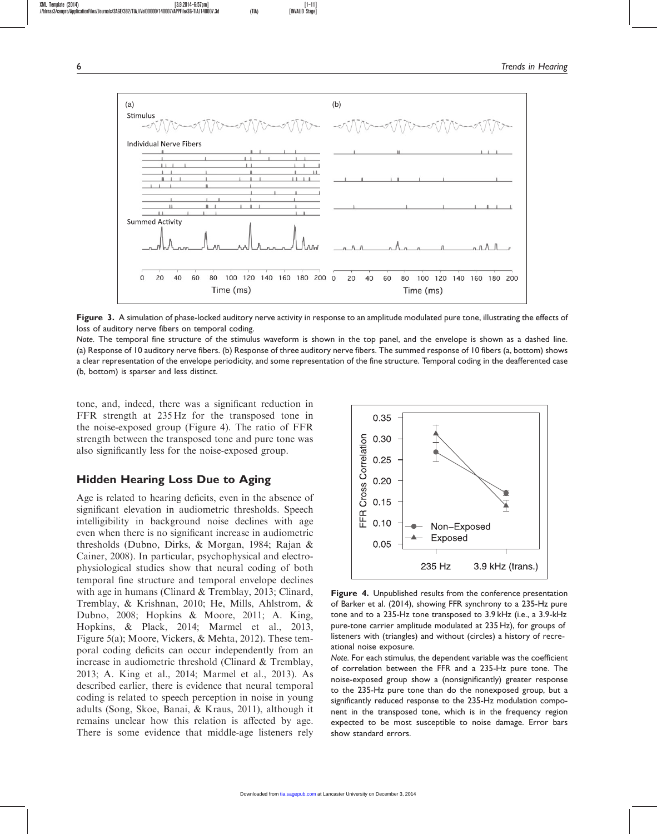

Figure 3. A simulation of phase-locked auditory nerve activity in response to an amplitude modulated pure tone, illustrating the effects of loss of auditory nerve fibers on temporal coding.

Note. The temporal fine structure of the stimulus waveform is shown in the top panel, and the envelope is shown as a dashed line. (a) Response of 10 auditory nerve fibers. (b) Response of three auditory nerve fibers. The summed response of 10 fibers (a, bottom) shows a clear representation of the envelope periodicity, and some representation of the fine structure. Temporal coding in the deafferented case (b, bottom) is sparser and less distinct.

tone, and, indeed, there was a significant reduction in FFR strength at 235 Hz for the transposed tone in the noise-exposed group (Figure 4). The ratio of FFR strength between the transposed tone and pure tone was also significantly less for the noise-exposed group.

### Hidden Hearing Loss Due to Aging

Age is related to hearing deficits, even in the absence of significant elevation in audiometric thresholds. Speech intelligibility in background noise declines with age even when there is no significant increase in audiometric thresholds (Dubno, Dirks, & Morgan, 1984; Rajan & Cainer, 2008). In particular, psychophysical and electrophysiological studies show that neural coding of both temporal fine structure and temporal envelope declines with age in humans (Clinard & Tremblay, 2013; Clinard, Tremblay, & Krishnan, 2010; He, Mills, Ahlstrom, & Dubno, 2008; Hopkins & Moore, 2011; A. King, Hopkins, & Plack, 2014; Marmel et al., 2013, Figure 5(a); Moore, Vickers, & Mehta, 2012). These temporal coding deficits can occur independently from an increase in audiometric threshold (Clinard & Tremblay, 2013; A. King et al., 2014; Marmel et al., 2013). As described earlier, there is evidence that neural temporal coding is related to speech perception in noise in young adults (Song, Skoe, Banai, & Kraus, 2011), although it remains unclear how this relation is affected by age. There is some evidence that middle-age listeners rely



Figure 4. Unpublished results from the conference presentation of Barker et al. (2014), showing FFR synchrony to a 235-Hz pure tone and to a 235-Hz tone transposed to 3.9 kHz (i.e., a 3.9-kHz pure-tone carrier amplitude modulated at 235 Hz), for groups of listeners with (triangles) and without (circles) a history of recreational noise exposure.

Note. For each stimulus, the dependent variable was the coefficient of correlation between the FFR and a 235-Hz pure tone. The noise-exposed group show a (nonsignificantly) greater response to the 235-Hz pure tone than do the nonexposed group, but a significantly reduced response to the 235-Hz modulation component in the transposed tone, which is in the frequency region expected to be most susceptible to noise damage. Error bars show standard errors.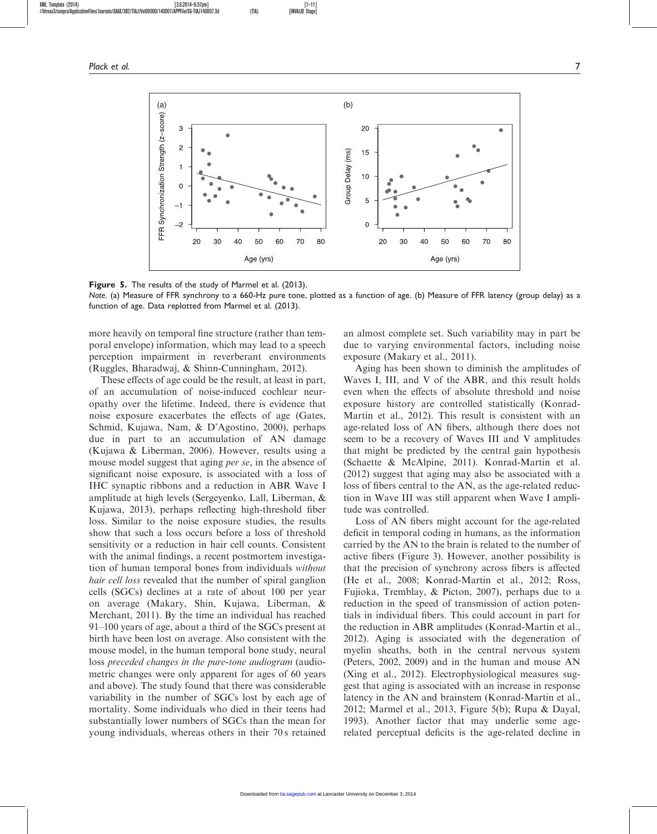

Figure 5. The results of the study of Marmel et al. (2013).

Note. (a) Measure of FFR synchrony to a 660-Hz pure tone, plotted as a function of age. (b) Measure of FFR latency (group delay) as a function of age. Data replotted from Marmel et al. (2013).

more heavily on temporal fine structure (rather than temporal envelope) information, which may lead to a speech perception impairment in reverberant environments (Ruggles, Bharadwaj, & Shinn-Cunningham, 2012).

These effects of age could be the result, at least in part, of an accumulation of noise-induced cochlear neuropathy over the lifetime. Indeed, there is evidence that noise exposure exacerbates the effects of age (Gates, Schmid, Kujawa, Nam, & D'Agostino, 2000), perhaps due in part to an accumulation of AN damage (Kujawa & Liberman, 2006). However, results using a mouse model suggest that aging *per se*, in the absence of significant noise exposure, is associated with a loss of IHC synaptic ribbons and a reduction in ABR Wave I amplitude at high levels (Sergeyenko, Lall, Liberman, & Kujawa, 2013), perhaps reflecting high-threshold fiber loss. Similar to the noise exposure studies, the results show that such a loss occurs before a loss of threshold sensitivity or a reduction in hair cell counts. Consistent with the animal findings, a recent postmortem investigation of human temporal bones from individuals without hair cell loss revealed that the number of spiral ganglion cells (SGCs) declines at a rate of about 100 per year on average (Makary, Shin, Kujawa, Liberman, & Merchant, 2011). By the time an individual has reached 91–100 years of age, about a third of the SGCs present at birth have been lost on average. Also consistent with the mouse model, in the human temporal bone study, neural loss preceded changes in the pure-tone audiogram (audiometric changes were only apparent for ages of 60 years and above). The study found that there was considerable variability in the number of SGCs lost by each age of mortality. Some individuals who died in their teens had substantially lower numbers of SGCs than the mean for young individuals, whereas others in their 70 s retained

an almost complete set. Such variability may in part be due to varying environmental factors, including noise exposure (Makary et al., 2011).

Aging has been shown to diminish the amplitudes of Waves I, III, and V of the ABR, and this result holds even when the effects of absolute threshold and noise exposure history are controlled statistically (Konrad-Martin et al., 2012). This result is consistent with an age-related loss of AN fibers, although there does not seem to be a recovery of Waves III and V amplitudes that might be predicted by the central gain hypothesis (Schaette & McAlpine, 2011). Konrad-Martin et al. (2012) suggest that aging may also be associated with a loss of fibers central to the AN, as the age-related reduction in Wave III was still apparent when Wave I amplitude was controlled.

Loss of AN fibers might account for the age-related deficit in temporal coding in humans, as the information carried by the AN to the brain is related to the number of active fibers (Figure 3). However, another possibility is that the precision of synchrony across fibers is affected (He et al., 2008; Konrad-Martin et al., 2012; Ross, Fujioka, Tremblay, & Picton, 2007), perhaps due to a reduction in the speed of transmission of action potentials in individual fibers. This could account in part for the reduction in ABR amplitudes (Konrad-Martin et al., 2012). Aging is associated with the degeneration of myelin sheaths, both in the central nervous system (Peters, 2002, 2009) and in the human and mouse AN (Xing et al., 2012). Electrophysiological measures suggest that aging is associated with an increase in response latency in the AN and brainstem (Konrad-Martin et al., 2012; Marmel et al., 2013, Figure 5(b); Rupa & Dayal, 1993). Another factor that may underlie some agerelated perceptual deficits is the age-related decline in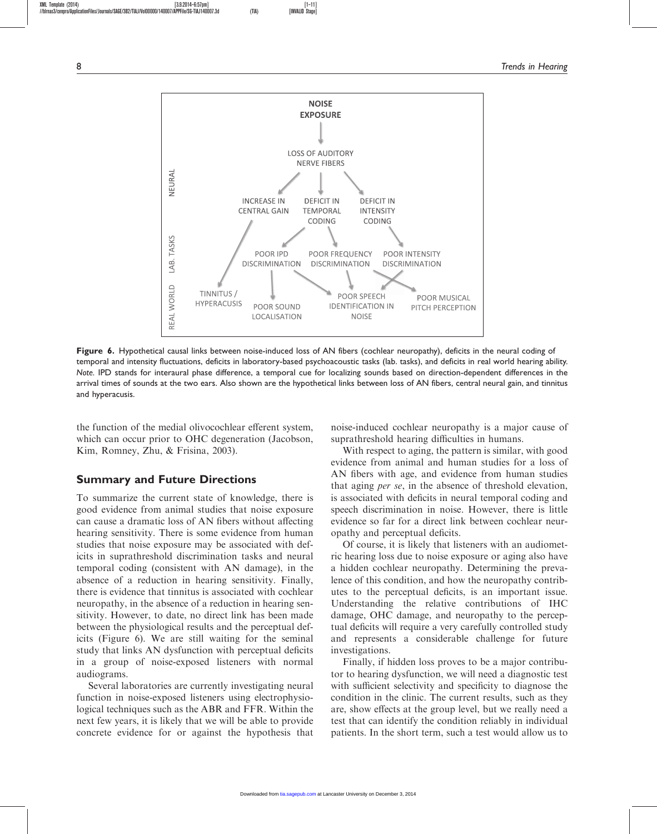

Figure 6. Hypothetical causal links between noise-induced loss of AN fibers (cochlear neuropathy), deficits in the neural coding of temporal and intensity fluctuations, deficits in laboratory-based psychoacoustic tasks (lab. tasks), and deficits in real world hearing ability. Note. IPD stands for interaural phase difference, a temporal cue for localizing sounds based on direction-dependent differences in the arrival times of sounds at the two ears. Also shown are the hypothetical links between loss of AN fibers, central neural gain, and tinnitus and hyperacusis.

the function of the medial olivocochlear efferent system, which can occur prior to OHC degeneration (Jacobson, Kim, Romney, Zhu, & Frisina, 2003).

#### Summary and Future Directions

To summarize the current state of knowledge, there is good evidence from animal studies that noise exposure can cause a dramatic loss of AN fibers without affecting hearing sensitivity. There is some evidence from human studies that noise exposure may be associated with deficits in suprathreshold discrimination tasks and neural temporal coding (consistent with AN damage), in the absence of a reduction in hearing sensitivity. Finally, there is evidence that tinnitus is associated with cochlear neuropathy, in the absence of a reduction in hearing sensitivity. However, to date, no direct link has been made between the physiological results and the perceptual deficits (Figure 6). We are still waiting for the seminal study that links AN dysfunction with perceptual deficits in a group of noise-exposed listeners with normal audiograms.

Several laboratories are currently investigating neural function in noise-exposed listeners using electrophysiological techniques such as the ABR and FFR. Within the next few years, it is likely that we will be able to provide concrete evidence for or against the hypothesis that noise-induced cochlear neuropathy is a major cause of suprathreshold hearing difficulties in humans.

With respect to aging, the pattern is similar, with good evidence from animal and human studies for a loss of AN fibers with age, and evidence from human studies that aging per se, in the absence of threshold elevation, is associated with deficits in neural temporal coding and speech discrimination in noise. However, there is little evidence so far for a direct link between cochlear neuropathy and perceptual deficits.

Of course, it is likely that listeners with an audiometric hearing loss due to noise exposure or aging also have a hidden cochlear neuropathy. Determining the prevalence of this condition, and how the neuropathy contributes to the perceptual deficits, is an important issue. Understanding the relative contributions of IHC damage, OHC damage, and neuropathy to the perceptual deficits will require a very carefully controlled study and represents a considerable challenge for future investigations.

Finally, if hidden loss proves to be a major contributor to hearing dysfunction, we will need a diagnostic test with sufficient selectivity and specificity to diagnose the condition in the clinic. The current results, such as they are, show effects at the group level, but we really need a test that can identify the condition reliably in individual patients. In the short term, such a test would allow us to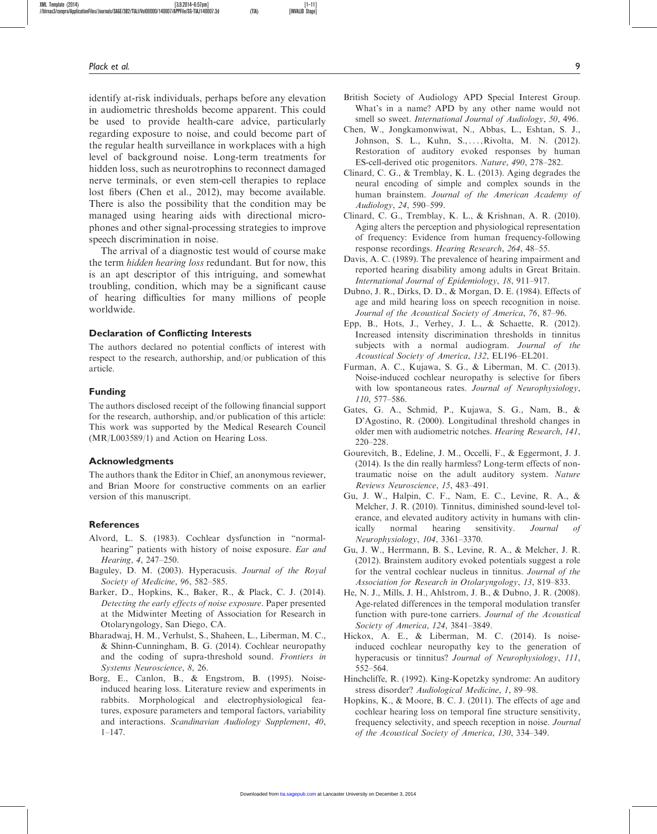identify at-risk individuals, perhaps before any elevation in audiometric thresholds become apparent. This could be used to provide health-care advice, particularly regarding exposure to noise, and could become part of the regular health surveillance in workplaces with a high level of background noise. Long-term treatments for hidden loss, such as neurotrophins to reconnect damaged nerve terminals, or even stem-cell therapies to replace lost fibers (Chen et al., 2012), may become available. There is also the possibility that the condition may be managed using hearing aids with directional microphones and other signal-processing strategies to improve speech discrimination in noise.

The arrival of a diagnostic test would of course make the term hidden hearing loss redundant. But for now, this is an apt descriptor of this intriguing, and somewhat troubling, condition, which may be a significant cause of hearing difficulties for many millions of people worldwide.

#### Declaration of Conflicting Interests

The authors declared no potential conflicts of interest with respect to the research, authorship, and/or publication of this article.

#### Funding

The authors disclosed receipt of the following financial support for the research, authorship, and/or publication of this article: This work was supported by the Medical Research Council (MR/L003589/1) and Action on Hearing Loss.

#### Acknowledgments

The authors thank the Editor in Chief, an anonymous reviewer, and Brian Moore for constructive comments on an earlier version of this manuscript.

#### **References**

- Alvord, L. S. (1983). Cochlear dysfunction in "normalhearing" patients with history of noise exposure. Ear and Hearing, 4, 247–250.
- Baguley, D. M. (2003). Hyperacusis. Journal of the Royal Society of Medicine, 96, 582–585.
- Barker, D., Hopkins, K., Baker, R., & Plack, C. J. (2014). Detecting the early effects of noise exposure. Paper presented at the Midwinter Meeting of Association for Research in Otolaryngology, San Diego, CA.
- Bharadwaj, H. M., Verhulst, S., Shaheen, L., Liberman, M. C., & Shinn-Cunningham, B. G. (2014). Cochlear neuropathy and the coding of supra-threshold sound. Frontiers in Systems Neuroscience, 8, 26.
- Borg, E., Canlon, B., & Engstrom, B. (1995). Noiseinduced hearing loss. Literature review and experiments in rabbits. Morphological and electrophysiological features, exposure parameters and temporal factors, variability and interactions. Scandinavian Audiology Supplement, 40, 1–147.
- British Society of Audiology APD Special Interest Group. What's in a name? APD by any other name would not smell so sweet. International Journal of Audiology, 50, 496.
- Chen, W., Jongkamonwiwat, N., Abbas, L., Eshtan, S. J., Johnson, S. L., Kuhn, S., ... ;Rivolta, M. N. (2012). Restoration of auditory evoked responses by human ES-cell-derived otic progenitors. Nature, 490, 278–282.
- Clinard, C. G., & Tremblay, K. L. (2013). Aging degrades the neural encoding of simple and complex sounds in the human brainstem. Journal of the American Academy of Audiology, 24, 590–599.
- Clinard, C. G., Tremblay, K. L., & Krishnan, A. R. (2010). Aging alters the perception and physiological representation of frequency: Evidence from human frequency-following response recordings. Hearing Research, 264, 48–55.
- Davis, A. C. (1989). The prevalence of hearing impairment and reported hearing disability among adults in Great Britain. International Journal of Epidemiology, 18, 911–917.
- Dubno, J. R., Dirks, D. D., & Morgan, D. E. (1984). Effects of age and mild hearing loss on speech recognition in noise. Journal of the Acoustical Society of America, 76, 87–96.
- Epp, B., Hots, J., Verhey, J. L., & Schaette, R. (2012). Increased intensity discrimination thresholds in tinnitus subjects with a normal audiogram. Journal of the Acoustical Society of America, 132, EL196–EL201.
- Furman, A. C., Kujawa, S. G., & Liberman, M. C. (2013). Noise-induced cochlear neuropathy is selective for fibers with low spontaneous rates. Journal of Neurophysiology, 110, 577–586.
- Gates, G. A., Schmid, P., Kujawa, S. G., Nam, B., & D'Agostino, R. (2000). Longitudinal threshold changes in older men with audiometric notches. Hearing Research, 141, 220–228.
- Gourevitch, B., Edeline, J. M., Occelli, F., & Eggermont, J. J. (2014). Is the din really harmless? Long-term effects of nontraumatic noise on the adult auditory system. Nature Reviews Neuroscience, 15, 483–491.
- Gu, J. W., Halpin, C. F., Nam, E. C., Levine, R. A., & Melcher, J. R. (2010). Tinnitus, diminished sound-level tolerance, and elevated auditory activity in humans with clinically normal hearing sensitivity. Journal of Neurophysiology, 104, 3361–3370.
- Gu, J. W., Herrmann, B. S., Levine, R. A., & Melcher, J. R. (2012). Brainstem auditory evoked potentials suggest a role for the ventral cochlear nucleus in tinnitus. Journal of the Association for Research in Otolaryngology, 13, 819–833.
- He, N. J., Mills, J. H., Ahlstrom, J. B., & Dubno, J. R. (2008). Age-related differences in the temporal modulation transfer function with pure-tone carriers. Journal of the Acoustical Society of America, 124, 3841–3849.
- Hickox, A. E., & Liberman, M. C. (2014). Is noiseinduced cochlear neuropathy key to the generation of hyperacusis or tinnitus? Journal of Neurophysiology, 111, 552–564.
- Hinchcliffe, R. (1992). King-Kopetzky syndrome: An auditory stress disorder? Audiological Medicine, 1, 89–98.
- Hopkins, K., & Moore, B. C. J. (2011). The effects of age and cochlear hearing loss on temporal fine structure sensitivity, frequency selectivity, and speech reception in noise. Journal of the Acoustical Society of America, 130, 334–349.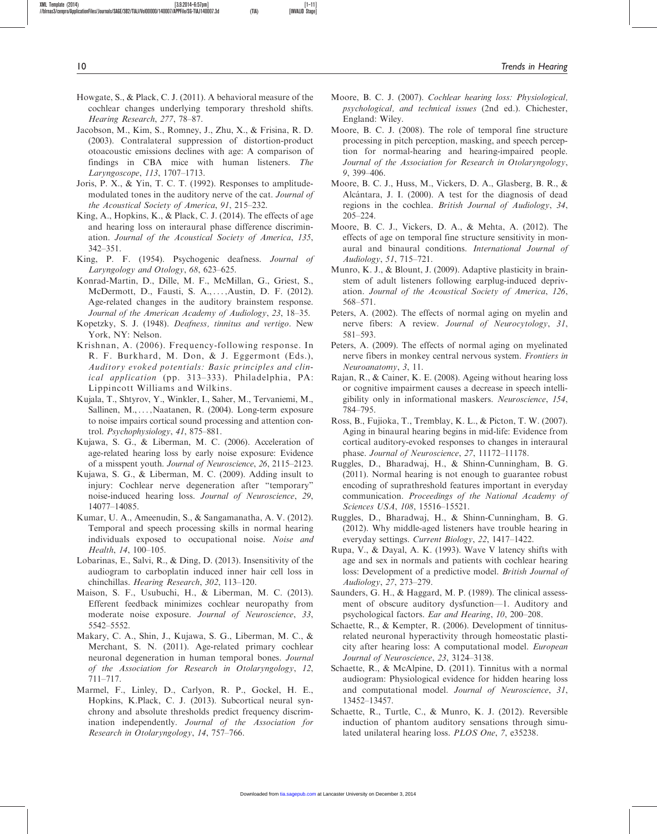- Howgate, S., & Plack, C. J. (2011). A behavioral measure of the cochlear changes underlying temporary threshold shifts. Hearing Research, 277, 78–87.
- Jacobson, M., Kim, S., Romney, J., Zhu, X., & Frisina, R. D. (2003). Contralateral suppression of distortion-product otoacoustic emissions declines with age: A comparison of findings in CBA mice with human listeners. The Laryngoscope, 113, 1707–1713.
- Joris, P. X., & Yin, T. C. T. (1992). Responses to amplitudemodulated tones in the auditory nerve of the cat. Journal of the Acoustical Society of America, 91, 215–232.
- King, A., Hopkins, K., & Plack, C. J. (2014). The effects of age and hearing loss on interaural phase difference discrimination. Journal of the Acoustical Society of America, 135, 342–351.
- King, P. F. (1954). Psychogenic deafness. Journal of Laryngology and Otology, 68, 623–625.
- Konrad-Martin, D., Dille, M. F., McMillan, G., Griest, S., McDermott, D., Fausti, S. A., ... ;Austin, D. F. (2012). Age-related changes in the auditory brainstem response. Journal of the American Academy of Audiology, 23, 18–35.
- Kopetzky, S. J. (1948). Deafness, tinnitus and vertigo. New York, NY: Nelson.
- Krishnan, A. (2006). Frequency-following response. In R. F. Burkhard, M. Don, & J. Eggermont (Eds.), Auditory evoked potentials: Basic principles and clinical application (pp. 313–333). Philadelphia, PA: Lippincott Williams and Wilkins.
- Kujala, T., Shtyrov, Y., Winkler, I., Saher, M., Tervaniemi, M., Sallinen, M., ... ;Naatanen, R. (2004). Long-term exposure to noise impairs cortical sound processing and attention control. Psychophysiology, 41, 875–881.
- Kujawa, S. G., & Liberman, M. C. (2006). Acceleration of age-related hearing loss by early noise exposure: Evidence of a misspent youth. Journal of Neuroscience, 26, 2115–2123.
- Kujawa, S. G., & Liberman, M. C. (2009). Adding insult to injury: Cochlear nerve degeneration after "temporary" noise-induced hearing loss. Journal of Neuroscience, 29, 14077–14085.
- Kumar, U. A., Ameenudin, S., & Sangamanatha, A. V. (2012). Temporal and speech processing skills in normal hearing individuals exposed to occupational noise. Noise and Health, 14, 100–105.
- Lobarinas, E., Salvi, R., & Ding, D. (2013). Insensitivity of the audiogram to carboplatin induced inner hair cell loss in chinchillas. Hearing Research, 302, 113–120.
- Maison, S. F., Usubuchi, H., & Liberman, M. C. (2013). Efferent feedback minimizes cochlear neuropathy from moderate noise exposure. Journal of Neuroscience, 33, 5542–5552.
- Makary, C. A., Shin, J., Kujawa, S. G., Liberman, M. C., & Merchant, S. N. (2011). Age-related primary cochlear neuronal degeneration in human temporal bones. Journal of the Association for Research in Otolaryngology, 12, 711–717.
- Marmel, F., Linley, D., Carlyon, R. P., Gockel, H. E., Hopkins, K.Plack, C. J. (2013). Subcortical neural synchrony and absolute thresholds predict frequency discrimination independently. Journal of the Association for Research in Otolaryngology, 14, 757–766.
- Moore, B. C. J. (2007). Cochlear hearing loss: Physiological, psychological, and technical issues (2nd ed.). Chichester, England: Wiley.
- Moore, B. C. J. (2008). The role of temporal fine structure processing in pitch perception, masking, and speech perception for normal-hearing and hearing-impaired people. Journal of the Association for Research in Otolaryngology, 9, 399–406.
- Moore, B. C. J., Huss, M., Vickers, D. A., Glasberg, B. R., & Alcántara, J. I. (2000). A test for the diagnosis of dead regions in the cochlea. British Journal of Audiology, 34, 205–224.
- Moore, B. C. J., Vickers, D. A., & Mehta, A. (2012). The effects of age on temporal fine structure sensitivity in monaural and binaural conditions. International Journal of Audiology, 51, 715–721.
- Munro, K. J., & Blount, J. (2009). Adaptive plasticity in brainstem of adult listeners following earplug-induced deprivation. Journal of the Acoustical Society of America, 126, 568–571.
- Peters, A. (2002). The effects of normal aging on myelin and nerve fibers: A review. Journal of Neurocytology, 31, 581–593.
- Peters, A. (2009). The effects of normal aging on myelinated nerve fibers in monkey central nervous system. Frontiers in Neuroanatomy, 3, 11.
- Rajan, R., & Cainer, K. E. (2008). Ageing without hearing loss or cognitive impairment causes a decrease in speech intelligibility only in informational maskers. Neuroscience, 154, 784–795.
- Ross, B., Fujioka, T., Tremblay, K. L., & Picton, T. W. (2007). Aging in binaural hearing begins in mid-life: Evidence from cortical auditory-evoked responses to changes in interaural phase. Journal of Neuroscience, 27, 11172–11178.
- Ruggles, D., Bharadwaj, H., & Shinn-Cunningham, B. G. (2011). Normal hearing is not enough to guarantee robust encoding of suprathreshold features important in everyday communication. Proceedings of the National Academy of Sciences USA, 108, 15516–15521.
- Ruggles, D., Bharadwaj, H., & Shinn-Cunningham, B. G. (2012). Why middle-aged listeners have trouble hearing in everyday settings. Current Biology, 22, 1417–1422.
- Rupa, V., & Dayal, A. K. (1993). Wave V latency shifts with age and sex in normals and patients with cochlear hearing loss: Development of a predictive model. British Journal of Audiology, 27, 273–279.
- Saunders, G. H., & Haggard, M. P. (1989). The clinical assessment of obscure auditory dysfunction—1. Auditory and psychological factors. Ear and Hearing, 10, 200–208.
- Schaette, R., & Kempter, R. (2006). Development of tinnitusrelated neuronal hyperactivity through homeostatic plasticity after hearing loss: A computational model. European Journal of Neuroscience, 23, 3124–3138.
- Schaette, R., & McAlpine, D. (2011). Tinnitus with a normal audiogram: Physiological evidence for hidden hearing loss and computational model. Journal of Neuroscience, 31, 13452–13457.
- Schaette, R., Turtle, C., & Munro, K. J. (2012). Reversible induction of phantom auditory sensations through simulated unilateral hearing loss. PLOS One, 7, e35238.